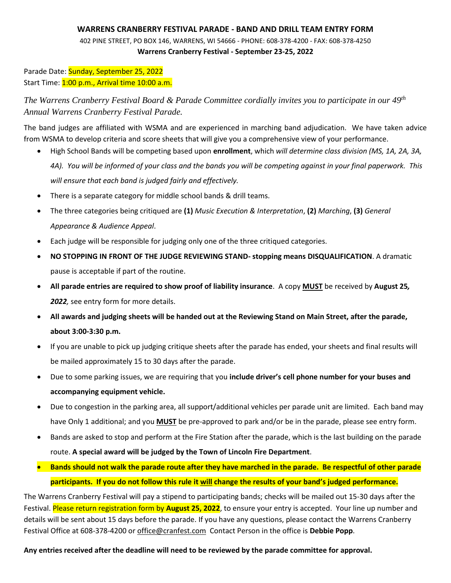## **WARRENS CRANBERRY FESTIVAL PARADE - BAND AND DRILL TEAM ENTRY FORM**

402 PINE STREET, PO BOX 146, WARRENS, WI 54666 - PHONE: 608-378-4200 - FAX: 608-378-4250 **Warrens Cranberry Festival - September 23-25, 2022**

Parade Date: Sunday, September 25, 2022 Start Time: 1:00 p.m., Arrival time 10:00 a.m.

*The Warrens Cranberry Festival Board & Parade Committee cordially invites you to participate in our 49 th Annual Warrens Cranberry Festival Parade.* 

The band judges are affiliated with WSMA and are experienced in marching band adjudication. We have taken advice from WSMA to develop criteria and score sheets that will give you a comprehensive view of your performance.

- High School Bands will be competing based upon **enrollment**, which *will determine class division (MS, 1A, 2A, 3A, 4A). You will be informed of your class and the bands you will be competing against in your final paperwork. This will ensure that each band is judged fairly and effectively.*
- There is a separate category for middle school bands & drill teams.
- The three categories being critiqued are **(1)** *Music Execution & Interpretation*, **(2)** *Marching*, **(3)** *General Appearance & Audience Appeal*.
- Each judge will be responsible for judging only one of the three critiqued categories.
- **NO STOPPING IN FRONT OF THE JUDGE REVIEWING STAND- stopping means DISQUALIFICATION**. A dramatic pause is acceptable if part of the routine.
- **All parade entries are required to show proof of liability insurance**. A copy **MUST** be received by **August 25***, 2022,* see entry form for more details.
- **All awards and judging sheets will be handed out at the Reviewing Stand on Main Street, after the parade, about 3:00-3:30 p.m.**
- If you are unable to pick up judging critique sheets after the parade has ended, your sheets and final results will be mailed approximately 15 to 30 days after the parade.
- Due to some parking issues, we are requiring that you **include driver's cell phone number for your buses and accompanying equipment vehicle.**
- Due to congestion in the parking area, all support/additional vehicles per parade unit are limited. Each band may have Only 1 additional; and you **MUST** be pre-approved to park and/or be in the parade, please see entry form.
- Bands are asked to stop and perform at the Fire Station after the parade, which is the last building on the parade route. **A special award will be judged by the Town of Lincoln Fire Department**.
- **Bands should not walk the parade route after they have marched in the parade. Be respectful of other parade participants. If you do not follow this rule it will change the results of your band's judged performance.**

The Warrens Cranberry Festival will pay a stipend to participating bands; checks will be mailed out 15-30 days after the Festival. Please return registration form by **August 25, 2022**, to ensure your entry is accepted. Your line up number and details will be sent about 15 days before the parade. If you have any questions, please contact the Warrens Cranberry Festival Office at 608-378-4200 or [office@cranfest.com](mailto:office@cranfest.com) Contact Person in the office is **Debbie Popp**.

## **Any entries received after the deadline will need to be reviewed by the parade committee for approval.**